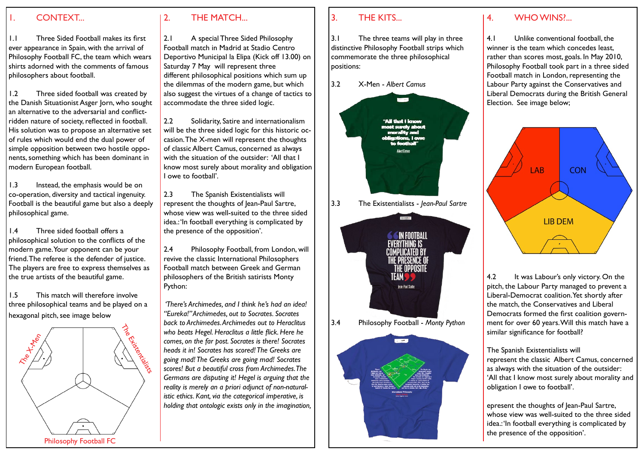#### 1. CONTEXT...

1.1 Three Sided Football makes its first ever appearance in Spain, with the arrival of Philosophy Football FC, the team which wears shirts adorned with the comments of famous philosophers about football.

1.2 Three sided football was created by the Danish Situationist Asger Jorn, who sought an alternative to the adversarial and conflictridden nature of society, reflected in football. His solution was to propose an alternative set of rules which would end the dual power of simple opposition between two hostile opponents, something which has been dominant in modern European football.

1.3 Instead, the emphasis would be on co-operation, diversity and tactical ingenuity. Football is the beautiful game but also a deeply philosophical game.

1.4 Three sided football offers a philosophical solution to the conflicts of the modern game. Your opponent can be your friend. The referee is the defender of justice. The players are free to express themselves as the true artists of the beautiful game.

1.5 This match will therefore involve three philosophical teams and be played on a hexagonal pitch, see image below



# 2. THE MATCH...

2.1 A special Three Sided Philosophy Football match in Madrid at Stadio Centro Deportivo Municipal la Elipa (Kick off 13.00) on Saturday 7 May will represent three different philosophical positions which sum up the dilemmas of the modern game, but which also suggest the virtues of a change of tactics to accommodate the three sided logic.

2.2 Solidarity, Satire and internationalism will be the three sided logic for this historic occasion.The X-men will represent the thoughts of classic Albert Camus, concerned as always with the situation of the outsider: 'All that I know most surely about morality and obligation I owe to football'.

2.3 The Spanish Existentialists will represent the thoughts of Jean-Paul Sartre, whose view was well-suited to the three sided idea.: 'In football everything is complicated by the presence of the opposition'.

2.4 Philosophy Football, from London, will revive the classic International Philosophers Football match between Greek and German philosophers of the British satirists Monty Python:

 *'There's Archimedes, and I think he's had an idea! "Eureka!" Archimedes, out to Socrates. Socrates back to Archimedes. Archimedes out to Heraclitus who beats Hegel. Heraclitus a little flick. Here he comes, on the far post. Socrates is there! Socrates heads it in! Socrates has scored! The Greeks are going mad! The Greeks are going mad! Socrates scores! But a beautiful cross from Archimedes. The Germans are disputing it! Hegel is arguing that the reality is merely an a priori adjunct of non-naturalistic ethics. Kant, via the categorical imperative, is holding that ontologic exists only in the imagination,* 

## 3. THE KITS...

3.1 The three teams will play in three distinctive Philosophy Football strips which commemorate the three philosophical positions:



### 4. WHO WINS?...

4.1 Unlike conventional football, the winner is the team which concedes least, rather than scores most, goals. In May 2010, Philosophy Football took part in a three sided Football match in London, representing the Labour Party against the Conservatives and Liberal Democrats during the British General Election. See image below;



4.2 It was Labour's only victory. On the pitch, the Labour Party managed to prevent a Liberal-Democrat coalition.Yet shortly after the match, the Conservatives and Liberal Democrats formed the first coalition government for over 60 years.Will this match have a similar significance for football?

The Spanish Existentialists will represent the classic Albert Camus, concerned as always with the situation of the outsider: 'All that I know most surely about morality and obligation I owe to football'.

epresent the thoughts of Jean-Paul Sartre, whose view was well-suited to the three sided idea.: 'In football everything is complicated by the presence of the opposition'.